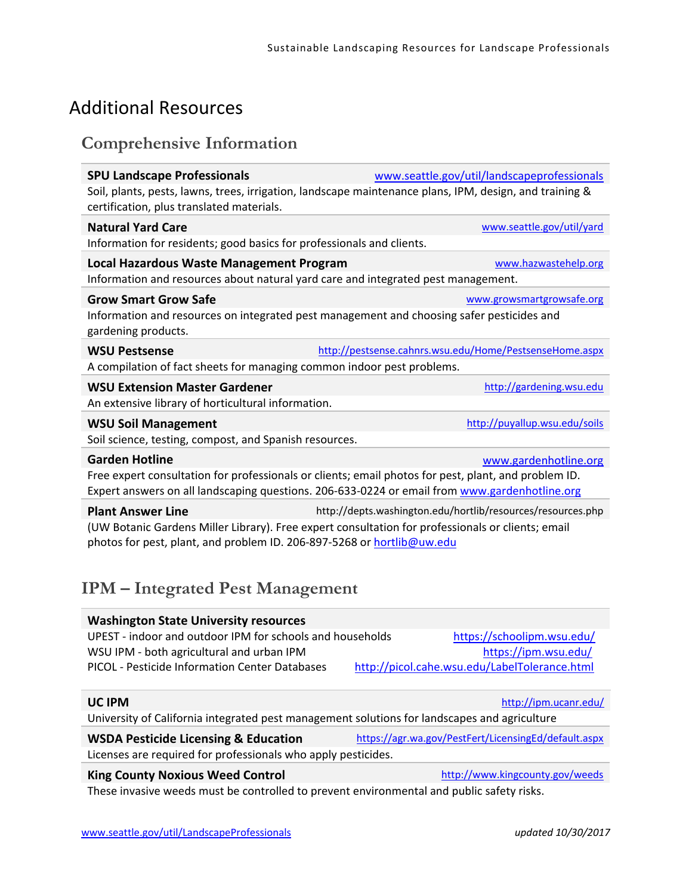# Additional Resources

#### **Comprehensive Information**

| <b>SPU Landscape Professionals</b>                                                | www.seattle.gov/util/landscapeprofessionals                                                             |  |
|-----------------------------------------------------------------------------------|---------------------------------------------------------------------------------------------------------|--|
| certification, plus translated materials.                                         | Soil, plants, pests, lawns, trees, irrigation, landscape maintenance plans, IPM, design, and training & |  |
| <b>Natural Yard Care</b>                                                          | www.seattle.gov/util/yard                                                                               |  |
| Information for residents; good basics for professionals and clients.             |                                                                                                         |  |
| <b>Local Hazardous Waste Management Program</b>                                   | www.hazwastehelp.org                                                                                    |  |
| Information and resources about natural yard care and integrated pest management. |                                                                                                         |  |
| <b>Grow Smart Grow Safe</b>                                                       | www.growsmartgrowsafe.org                                                                               |  |
| gardening products.                                                               | Information and resources on integrated pest management and choosing safer pesticides and               |  |
| <b>WSU Pestsense</b>                                                              | http://pestsense.cahnrs.wsu.edu/Home/PestsenseHome.aspx                                                 |  |
| A compilation of fact sheets for managing common indoor pest problems.            |                                                                                                         |  |
| <b>WSU Extension Master Gardener</b>                                              | http://gardening.wsu.edu                                                                                |  |
| An extensive library of horticultural information.                                |                                                                                                         |  |
| <b>WSU Soil Management</b>                                                        | http://puyallup.wsu.edu/soils                                                                           |  |
| Soil science, testing, compost, and Spanish resources.                            |                                                                                                         |  |
| <b>Garden Hotline</b>                                                             | www.gardenhotline.org                                                                                   |  |
|                                                                                   | Free expert consultation for professionals or clients; email photos for pest, plant, and problem ID.    |  |
|                                                                                   | Expert answers on all landscaping questions. 206-633-0224 or email from www.gardenhotline.org           |  |
| <b>Plant Answer Line</b>                                                          | http://depts.washington.edu/hortlib/resources/resources.php                                             |  |
| photos for pest, plant, and problem ID. 206-897-5268 or hortlib@uw.edu            | (UW Botanic Gardens Miller Library). Free expert consultation for professionals or clients; email       |  |

## **IPM – Integrated Pest Management**

| <b>Washington State University resources</b>              |                                               |
|-----------------------------------------------------------|-----------------------------------------------|
| UPEST - indoor and outdoor IPM for schools and households | https://schoolipm.wsu.edu/                    |
| WSU IPM - both agricultural and urban IPM                 | https://ipm.wsu.edu/                          |
| PICOL - Pesticide Information Center Databases            | http://picol.cahe.wsu.edu/LabelTolerance.html |

University of California integrated pest management solutions for landscapes and agriculture

#### **WSDA Pesticide Licensing & Education** https://agr.wa.gov/PestFert/LicensingEd/default.aspx Licenses are required for professionals who apply pesticides.

#### **King County Noxious Weed Control Control Control** http://www.kingcounty.gov/weeds

These invasive weeds must be controlled to prevent environmental and public safety risks.

#### **UC IPM** http://ipm.ucanr.edu/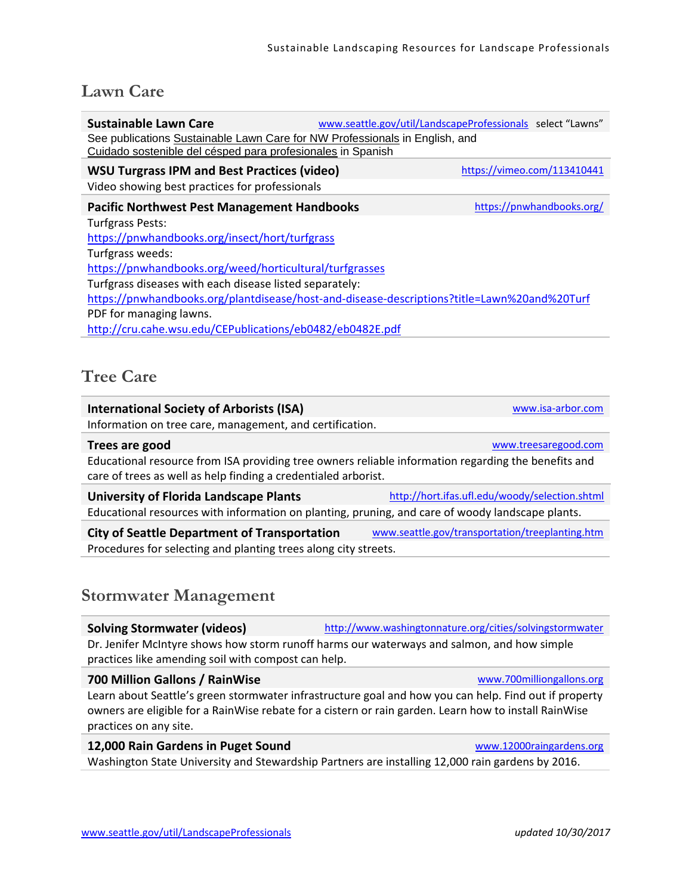# **Lawn Care**

| <b>Sustainable Lawn Care</b><br>See publications Sustainable Lawn Care for NW Professionals in English, and<br>Cuidado sostenible del césped para profesionales in Spanish |  | www.seattle.gov/util/LandscapeProfessionals select "Lawns" |  |
|----------------------------------------------------------------------------------------------------------------------------------------------------------------------------|--|------------------------------------------------------------|--|
| <b>WSU Turgrass IPM and Best Practices (video)</b><br>Video showing best practices for professionals                                                                       |  | https://vimeo.com/113410441                                |  |
| <b>Pacific Northwest Pest Management Handbooks</b>                                                                                                                         |  | https://pnwhandbooks.org/                                  |  |
| <b>Turfgrass Pests:</b>                                                                                                                                                    |  |                                                            |  |
| https://pnwhandbooks.org/insect/hort/turfgrass                                                                                                                             |  |                                                            |  |
| Turfgrass weeds:                                                                                                                                                           |  |                                                            |  |
| https://pnwhandbooks.org/weed/horticultural/turfgrasses                                                                                                                    |  |                                                            |  |
| Turfgrass diseases with each disease listed separately:                                                                                                                    |  |                                                            |  |
| https://pnwhandbooks.org/plantdisease/host-and-disease-descriptions?title=Lawn%20and%20Turf                                                                                |  |                                                            |  |
| PDF for managing lawns.                                                                                                                                                    |  |                                                            |  |
| http://cru.cahe.wsu.edu/CEPublications/eb0482/eb0482E.pdf                                                                                                                  |  |                                                            |  |

## **Tree Care**

| <b>International Society of Arborists (ISA)</b>                                                                                                                       | www.isa-arbor.com                               |  |
|-----------------------------------------------------------------------------------------------------------------------------------------------------------------------|-------------------------------------------------|--|
| Information on tree care, management, and certification.                                                                                                              |                                                 |  |
| Trees are good                                                                                                                                                        | www.treesaregood.com                            |  |
| Educational resource from ISA providing tree owners reliable information regarding the benefits and<br>care of trees as well as help finding a credentialed arborist. |                                                 |  |
| <b>University of Florida Landscape Plants</b>                                                                                                                         | http://hort.jfas.ufl.edu/woody/selection.shtml  |  |
| Educational resources with information on planting, pruning, and care of woody landscape plants.                                                                      |                                                 |  |
| <b>City of Seattle Department of Transportation</b>                                                                                                                   | www.seattle.gov/transportation/treeplanting.htm |  |
| Procedures for selecting and planting trees along city streets.                                                                                                       |                                                 |  |

#### **Stormwater Management**

| <b>Solving Stormwater (videos)</b>                                                         | http://www.washingtonnature.org/cities/solvingstormwater |  |
|--------------------------------------------------------------------------------------------|----------------------------------------------------------|--|
| Dr. Jenifer McIntyre shows how storm runoff harms our waterways and salmon, and how simple |                                                          |  |
| practices like amending soil with compost can help.                                        |                                                          |  |
|                                                                                            |                                                          |  |

Learn about Seattle's green stormwater infrastructure goal and how you can help. Find out if property owners are eligible for a RainWise rebate for a cistern or rain garden. Learn how to install RainWise practices on any site.

#### **12,000 Rain Gardens in Puget Sound**  www.12000raingardens.org

Washington State University and Stewardship Partners are installing 12,000 rain gardens by 2016.

**700 Million Gallons / RainWise**  www.700milliongallons.org